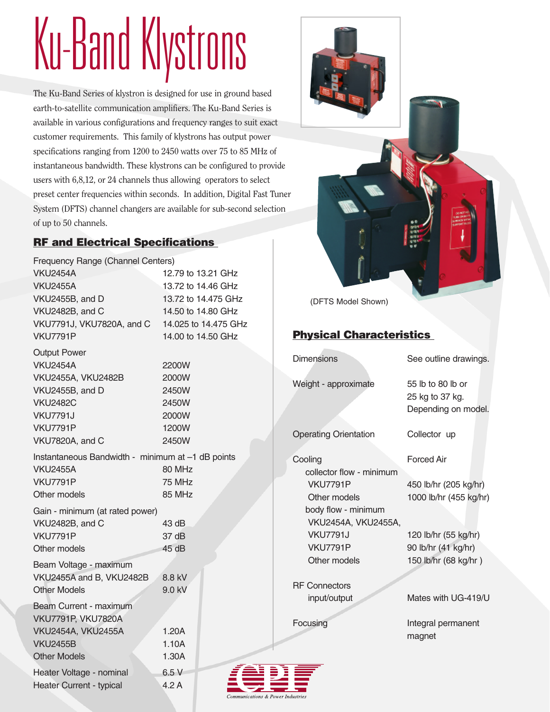# Ku-Band Klystrons

The Ku-Band Series of klystron is designed for use in ground based earth-to-satellite communication amplifiers. The Ku-Band Series is available in various configurations and frequency ranges to suit exact customer requirements. This family of klystrons has output power specifications ranging from 1200 to 2450 watts over 75 to 85 MHz of instantaneous bandwidth. These klystrons can be configured to provide users with 6,8,12, or 24 channels thus allowing operators to select preset center frequencies within seconds. In addition, Digital Fast Tuner System (DFTS) channel changers are available for sub-second selection of up to 50 channels.

### RF and Electrical Specifications

| Frequency Range (Channel Centers)                 |
|---------------------------------------------------|
| 12.79 to 13.21 GHz                                |
| 13.72 to 14.46 GHz                                |
| 13.72 to 14.475 GHz                               |
| 14.50 to 14.80 GHz                                |
| 14.025 to 14.475 GHz                              |
| 14.00 to 14.50 GHz                                |
|                                                   |
| 2200W                                             |
| 2000W                                             |
| 2450W                                             |
| 2450W                                             |
| 2000W                                             |
| 1200W                                             |
| 2450W                                             |
| Instantaneous Bandwidth - minimum at -1 dB points |
| 80 MHz                                            |
| 75 MHz                                            |
| 85 MHz                                            |
| Gain - minimum (at rated power)                   |
| 43 dB                                             |
| 37 dB                                             |
| 45 dB                                             |
|                                                   |
| 8.8 kV                                            |
| 9.0 kV                                            |
|                                                   |
|                                                   |
| 1.20A                                             |
| 1.10A                                             |
| 1.30A                                             |
| 6.5V                                              |
| 4.2A                                              |
|                                                   |



(DFTS Model Shown)

### Physical Characteristics

| <b>Dimensions</b>                   | See outline drawings.                                       |
|-------------------------------------|-------------------------------------------------------------|
| Weight - approximate                | 55 lb to 80 lb or<br>25 kg to 37 kg.<br>Depending on model. |
| <b>Operating Orientation</b>        | Collector up                                                |
| Cooling<br>collector flow - minimum | <b>Forced Air</b>                                           |
| <b>VKU7791P</b>                     | 450 lb/hr (205 kg/hr)                                       |
| Other models                        | 1000 lb/hr (455 kg/hr)                                      |
| body flow - minimum                 |                                                             |
| VKU2454A, VKU2455A,                 |                                                             |
| <b>VKU7791J</b>                     | 120 lb/hr (55 kg/hr)                                        |
| <b>VKU7791P</b>                     | 90 lb/hr (41 kg/hr)                                         |
| Other models                        | 150 lb/hr (68 kg/hr)                                        |
| <b>RF Connectors</b>                |                                                             |
| input/output                        | Mates with UG-419/U                                         |
| Focusing                            | Integral permanent<br>magnet                                |